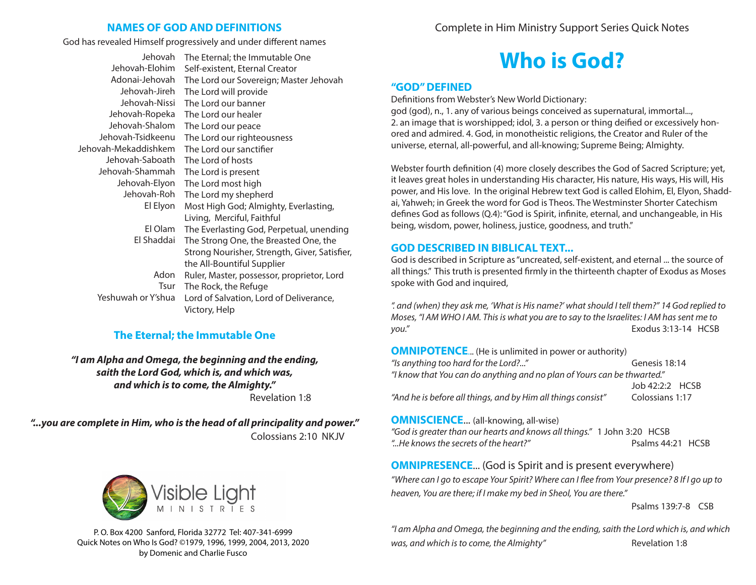# **NAMES OF GOD AND DEFINITIONS**

God has revealed Himself progressively and under different names

| Jehovah              | The Eternal; the Immutable One                |
|----------------------|-----------------------------------------------|
| Jehovah-Elohim       | Self-existent, Eternal Creator                |
| Adonai-Jehovah       | The Lord our Sovereign; Master Jehovah        |
| Jehovah-Jireh        | The Lord will provide                         |
| Jehovah-Nissi        | The Lord our banner                           |
| Jehovah-Ropeka       | The Lord our healer                           |
| Jehovah-Shalom       | The Lord our peace                            |
| Jehovah-Tsidkeenu    | The Lord our righteousness                    |
| Jehovah-Mekaddishkem | The Lord our sanctifier                       |
| Jehovah-Saboath      | The Lord of hosts                             |
| Jehovah-Shammah      | The Lord is present                           |
| Jehovah-Elyon        | The Lord most high                            |
| Jehovah-Roh          | The Lord my shepherd                          |
| El Elyon             | Most High God; Almighty, Everlasting,         |
|                      | Living, Merciful, Faithful                    |
| El Olam              | The Everlasting God, Perpetual, unending      |
| El Shaddai           | The Strong One, the Breasted One, the         |
|                      | Strong Nourisher, Strength, Giver, Satisfier, |
|                      | the All-Bountiful Supplier                    |
| Adon                 | Ruler, Master, possessor, proprietor, Lord    |
| Tsur                 | The Rock, the Refuge                          |
| Yeshuwah or Y'shua   | Lord of Salvation, Lord of Deliverance,       |
|                      | Victory, Help                                 |

# **The Eternal; the Immutable One**

*"I am Alpha and Omega, the beginning and the ending, saith the Lord God, which is, and which was, and which is to come, the Almighty."*  Revelation 1:8

*"...you are complete in Him, who is the head of all principality and power."* Colossians 2:10 NKJV



P. O. Box 4200 Sanford, Florida 32772 Tel: 407-341-6999 Quick Notes on Who Is God? ©1979, 1996, 1999, 2004, 2013, 2020 by Domenic and Charlie Fusco

Complete in Him Ministry Support Series Quick Notes

# **Who is God?**

## **"GOD" DEFINED**

Definitions from Webster's New World Dictionary:

god (god), n., 1. any of various beings conceived as supernatural, immortal..., 2. an image that is worshipped; idol, 3. a person or thing deified or excessively honored and admired. 4. God, in monotheistic religions, the Creator and Ruler of the universe, eternal, all-powerful, and all-knowing; Supreme Being; Almighty.

Webster fourth definition (4) more closely describes the God of Sacred Scripture; yet, it leaves great holes in understanding His character, His nature, His ways, His will, His power, and His love. In the original Hebrew text God is called Elohim, El, Elyon, Shaddai, Yahweh; in Greek the word for God is Theos. The Westminster Shorter Catechism defines God as follows (Q.4): "God is Spirit, infinite, eternal, and unchangeable, in His being, wisdom, power, holiness, justice, goodness, and truth."

## **GOD DESCRIBED IN BIBLICAL TEXT...**

God is described in Scripture as "uncreated, self-existent, and eternal ... the source of all things." This truth is presented firmly in the thirteenth chapter of Exodus as Moses spoke with God and inquired,

*". and (when) they ask me, 'What is His name?' what should I tell them?" 14 God replied to Moses, "I AM WHO I AM. This is what you are to say to the Israelites: I AM has sent me to you."* Exodus 3:13-14 HCSB

**OMNIPOTENCE...** (He is unlimited in power or authority) *"Is anything too hard for the Lord?..."* Genesis 18:14 *"I know that You can do anything and no plan of Yours can be thwarted."*  $Joh$  42:2:2 HCSB *"And he is before all things, and by Him all things consist"* Colossians 1:17

## **OMNISCIENCE...** (all-knowing, all-wise)

*"God is greater than our hearts and knows all things."* 1 John 3:20 HCSB *"...He knows the secrets of the heart?"* Psalms 44:21 HCSB

# **OMNIPRESENCE...** (God is Spirit and is present everywhere)

*"Where can I go to escape Your Spirit? Where can I flee from Your presence? 8 If I go up to heaven, You are there; if I make my bed in Sheol, You are there."*

Psalms 139:7-8 CSB

*"I am Alpha and Omega, the beginning and the ending, saith the Lord which is, and which was, and which is to come, the Almighty"* Revelation 1:8